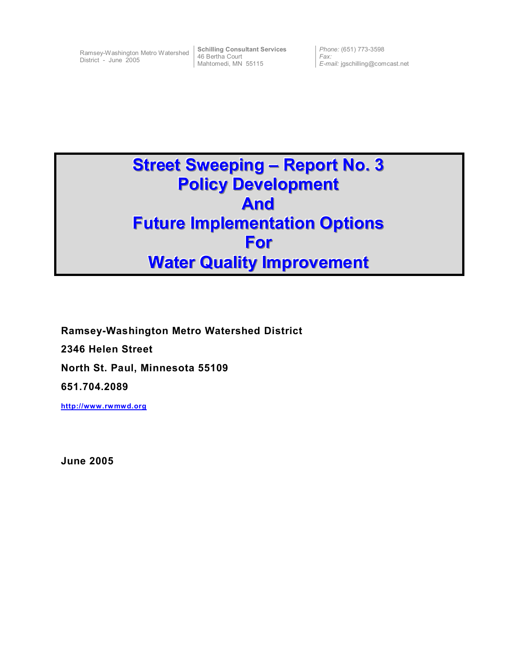District - June 2005

Ramsey-Washington Metro Watershed **Schilling Consultant Services** 46 Bertha Court Mahtomedi, MN 55115

*Phone:* (651) 773-3598 *Fax: E-mail:* jgschilling@comcast.net

# **Street Sweeping – Report No. 3 Policy Development And Future Implementation Options For Water Quality Improvement**

**Ramsey-Washington Metro Watershed District 2346 Helen Street North St. Paul, Minnesota 55109 651.704.2089** 

**http://www.rwmwd.org**

**June 2005**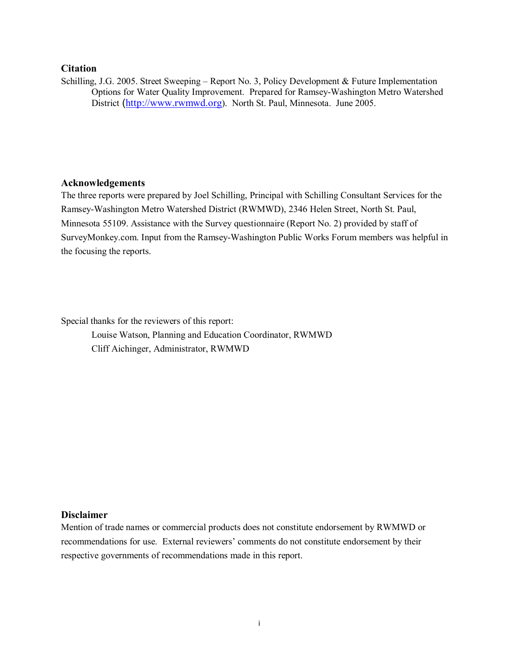# **Citation**

Schilling, J.G. 2005. Street Sweeping – Report No. 3, Policy Development & Future Implementation Options for Water Quality Improvement. Prepared for Ramsey-Washington Metro Watershed District (http://www.rwmwd.org). North St. Paul, Minnesota. June 2005.

# **Acknowledgements**

The three reports were prepared by Joel Schilling, Principal with Schilling Consultant Services for the Ramsey-Washington Metro Watershed District (RWMWD), 2346 Helen Street, North St. Paul, Minnesota 55109. Assistance with the Survey questionnaire (Report No. 2) provided by staff of SurveyMonkey.com. Input from the Ramsey-Washington Public Works Forum members was helpful in the focusing the reports.

Special thanks for the reviewers of this report:

 Louise Watson, Planning and Education Coordinator, RWMWD Cliff Aichinger, Administrator, RWMWD

# **Disclaimer**

Mention of trade names or commercial products does not constitute endorsement by RWMWD or recommendations for use. External reviewers' comments do not constitute endorsement by their respective governments of recommendations made in this report.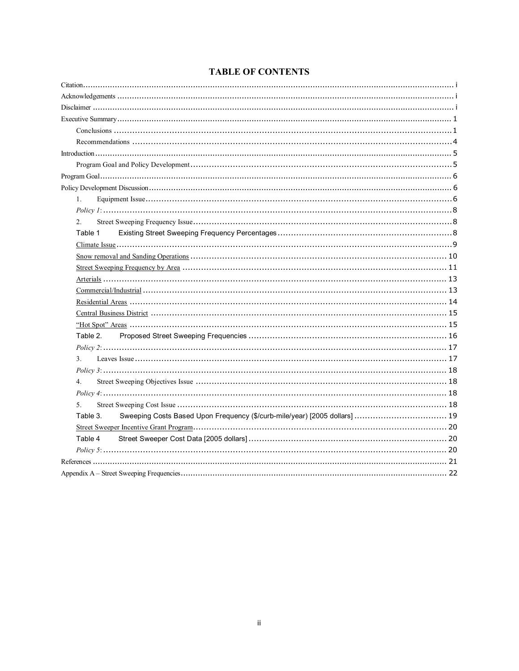# **TABLE OF CONTENTS**

| 1.                                                                                     |
|----------------------------------------------------------------------------------------|
|                                                                                        |
| 2.                                                                                     |
| Table 1                                                                                |
|                                                                                        |
|                                                                                        |
|                                                                                        |
|                                                                                        |
|                                                                                        |
|                                                                                        |
|                                                                                        |
|                                                                                        |
| Table 2.                                                                               |
| Policy 2: 17                                                                           |
| 3 <sub>1</sub>                                                                         |
| Policy 3: 18                                                                           |
| 4.                                                                                     |
| Policy 4: 18 18                                                                        |
| 5 <sub>1</sub>                                                                         |
| Sweeping Costs Based Upon Frequency (\$/curb-mile/year) [2005 dollars]  19<br>Table 3. |
|                                                                                        |
| Table 4                                                                                |
|                                                                                        |
|                                                                                        |
|                                                                                        |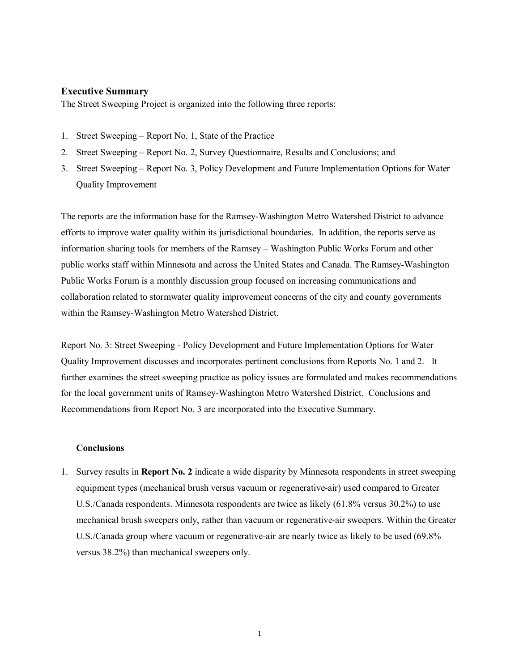# **Executive Summary**

The Street Sweeping Project is organized into the following three reports:

- 1. Street Sweeping Report No. 1, State of the Practice
- 2. Street Sweeping Report No. 2, Survey Questionnaire, Results and Conclusions; and
- 3. Street Sweeping Report No. 3, Policy Development and Future Implementation Options for Water Quality Improvement

The reports are the information base for the Ramsey-Washington Metro Watershed District to advance efforts to improve water quality within its jurisdictional boundaries. In addition, the reports serve as information sharing tools for members of the Ramsey – Washington Public Works Forum and other public works staff within Minnesota and across the United States and Canada. The Ramsey-Washington Public Works Forum is a monthly discussion group focused on increasing communications and collaboration related to stormwater quality improvement concerns of the city and county governments within the Ramsey-Washington Metro Watershed District.

Report No. 3: Street Sweeping - Policy Development and Future Implementation Options for Water Quality Improvement discusses and incorporates pertinent conclusions from Reports No. 1 and 2. It further examines the street sweeping practice as policy issues are formulated and makes recommendations for the local government units of Ramsey-Washington Metro Watershed District. Conclusions and Recommendations from Report No. 3 are incorporated into the Executive Summary.

# **Conclusions**

1. Survey results in **Report No. 2** indicate a wide disparity by Minnesota respondents in street sweeping equipment types (mechanical brush versus vacuum or regenerative-air) used compared to Greater U.S./Canada respondents. Minnesota respondents are twice as likely (61.8% versus 30.2%) to use mechanical brush sweepers only, rather than vacuum or regenerative-air sweepers. Within the Greater U.S./Canada group where vacuum or regenerative-air are nearly twice as likely to be used (69.8% versus 38.2%) than mechanical sweepers only.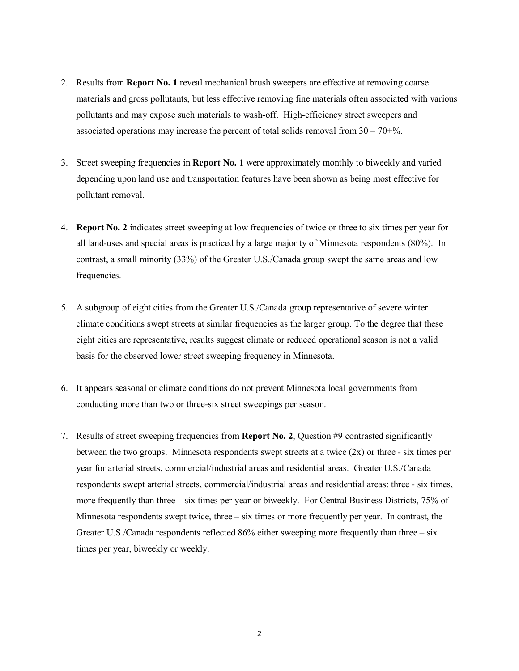- 2. Results from **Report No. 1** reveal mechanical brush sweepers are effective at removing coarse materials and gross pollutants, but less effective removing fine materials often associated with various pollutants and may expose such materials to wash-off. High-efficiency street sweepers and associated operations may increase the percent of total solids removal from  $30 - 70 + \%$ .
- 3. Street sweeping frequencies in **Report No. 1** were approximately monthly to biweekly and varied depending upon land use and transportation features have been shown as being most effective for pollutant removal.
- 4. **Report No. 2** indicates street sweeping at low frequencies of twice or three to six times per year for all land-uses and special areas is practiced by a large majority of Minnesota respondents (80%). In contrast, a small minority (33%) of the Greater U.S./Canada group swept the same areas and low frequencies.
- 5. A subgroup of eight cities from the Greater U.S./Canada group representative of severe winter climate conditions swept streets at similar frequencies as the larger group. To the degree that these eight cities are representative, results suggest climate or reduced operational season is not a valid basis for the observed lower street sweeping frequency in Minnesota.
- 6. It appears seasonal or climate conditions do not prevent Minnesota local governments from conducting more than two or three-six street sweepings per season.
- 7. Results of street sweeping frequencies from **Report No. 2**, Question #9 contrasted significantly between the two groups. Minnesota respondents swept streets at a twice (2x) or three - six times per year for arterial streets, commercial/industrial areas and residential areas. Greater U.S./Canada respondents swept arterial streets, commercial/industrial areas and residential areas: three - six times, more frequently than three – six times per year or biweekly. For Central Business Districts, 75% of Minnesota respondents swept twice, three – six times or more frequently per year. In contrast, the Greater U.S./Canada respondents reflected 86% either sweeping more frequently than three – six times per year, biweekly or weekly.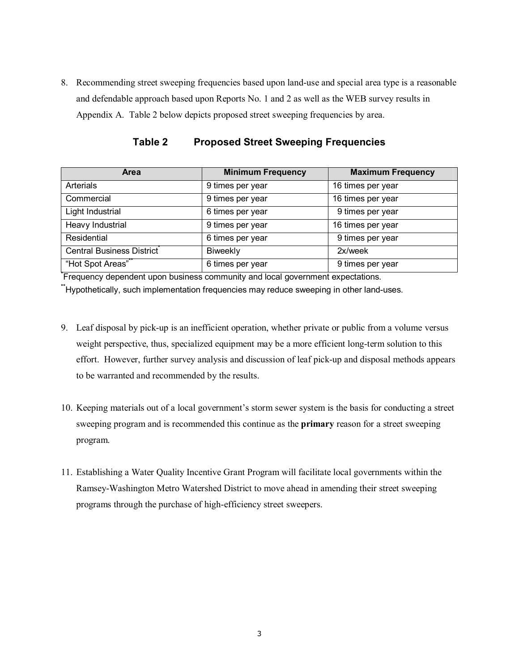8. Recommending street sweeping frequencies based upon land-use and special area type is a reasonable and defendable approach based upon Reports No. 1 and 2 as well as the WEB survey results in Appendix A. Table 2 below depicts proposed street sweeping frequencies by area.

| <b>Area</b>               | <b>Minimum Frequency</b> | <b>Maximum Frequency</b> |
|---------------------------|--------------------------|--------------------------|
| <b>Arterials</b>          | 9 times per year         | 16 times per year        |
| Commercial                | 9 times per year         | 16 times per year        |
| Light Industrial          | 6 times per year         | 9 times per year         |
| Heavy Industrial          | 9 times per year         | 16 times per year        |
| Residential               | 6 times per year         | 9 times per year         |
| Central Business District | <b>Biweekly</b>          | 2x/week                  |
| "Hot Spot Areas"          | 6 times per year         | 9 times per year         |

**Table 2 Proposed Street Sweeping Frequencies** 

**\*** Frequency dependent upon business community and local government expectations. **\*\***Hypothetically, such implementation frequencies may reduce sweeping in other land-uses.

- 9. Leaf disposal by pick-up is an inefficient operation, whether private or public from a volume versus weight perspective, thus, specialized equipment may be a more efficient long-term solution to this effort. However, further survey analysis and discussion of leaf pick-up and disposal methods appears to be warranted and recommended by the results.
- 10. Keeping materials out of a local government's storm sewer system is the basis for conducting a street sweeping program and is recommended this continue as the **primary** reason for a street sweeping program.
- 11. Establishing a Water Quality Incentive Grant Program will facilitate local governments within the Ramsey-Washington Metro Watershed District to move ahead in amending their street sweeping programs through the purchase of high-efficiency street sweepers.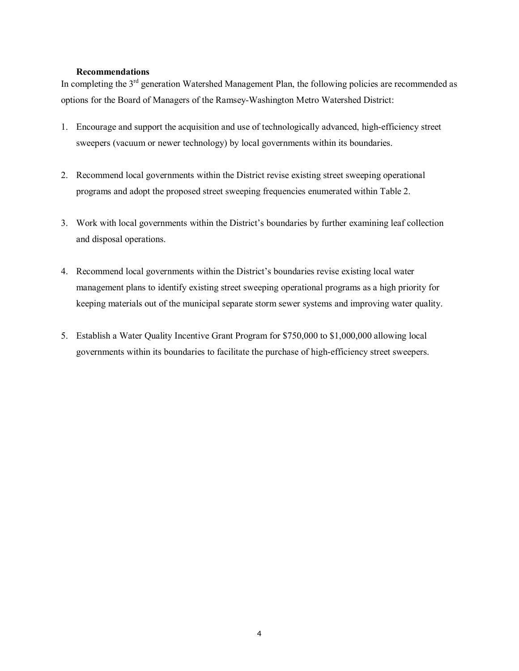# **Recommendations**

In completing the 3<sup>rd</sup> generation Watershed Management Plan, the following policies are recommended as options for the Board of Managers of the Ramsey-Washington Metro Watershed District:

- 1. Encourage and support the acquisition and use of technologically advanced, high-efficiency street sweepers (vacuum or newer technology) by local governments within its boundaries.
- 2. Recommend local governments within the District revise existing street sweeping operational programs and adopt the proposed street sweeping frequencies enumerated within Table 2.
- 3. Work with local governments within the District's boundaries by further examining leaf collection and disposal operations.
- 4. Recommend local governments within the District's boundaries revise existing local water management plans to identify existing street sweeping operational programs as a high priority for keeping materials out of the municipal separate storm sewer systems and improving water quality.
- 5. Establish a Water Quality Incentive Grant Program for \$750,000 to \$1,000,000 allowing local governments within its boundaries to facilitate the purchase of high-efficiency street sweepers.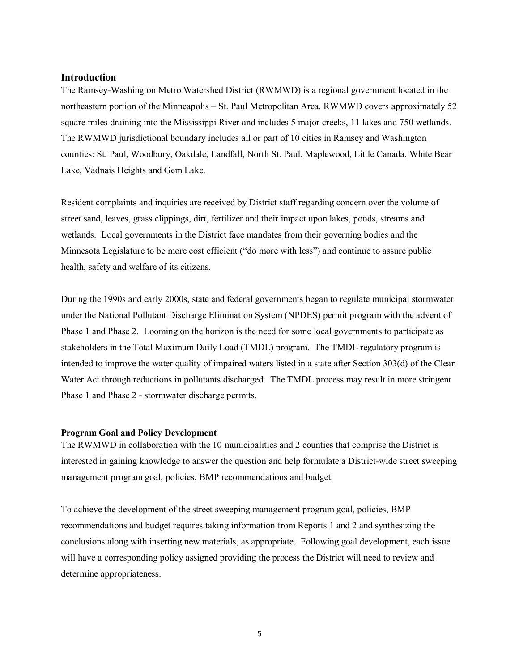# **Introduction**

The Ramsey-Washington Metro Watershed District (RWMWD) is a regional government located in the northeastern portion of the Minneapolis – St. Paul Metropolitan Area. RWMWD covers approximately 52 square miles draining into the Mississippi River and includes 5 major creeks, 11 lakes and 750 wetlands. The RWMWD jurisdictional boundary includes all or part of 10 cities in Ramsey and Washington counties: St. Paul, Woodbury, Oakdale, Landfall, North St. Paul, Maplewood, Little Canada, White Bear Lake, Vadnais Heights and Gem Lake.

Resident complaints and inquiries are received by District staff regarding concern over the volume of street sand, leaves, grass clippings, dirt, fertilizer and their impact upon lakes, ponds, streams and wetlands. Local governments in the District face mandates from their governing bodies and the Minnesota Legislature to be more cost efficient ("do more with less") and continue to assure public health, safety and welfare of its citizens.

During the 1990s and early 2000s, state and federal governments began to regulate municipal stormwater under the National Pollutant Discharge Elimination System (NPDES) permit program with the advent of Phase 1 and Phase 2. Looming on the horizon is the need for some local governments to participate as stakeholders in the Total Maximum Daily Load (TMDL) program. The TMDL regulatory program is intended to improve the water quality of impaired waters listed in a state after Section 303(d) of the Clean Water Act through reductions in pollutants discharged. The TMDL process may result in more stringent Phase 1 and Phase 2 - stormwater discharge permits.

# **Program Goal and Policy Development**

The RWMWD in collaboration with the 10 municipalities and 2 counties that comprise the District is interested in gaining knowledge to answer the question and help formulate a District-wide street sweeping management program goal, policies, BMP recommendations and budget.

To achieve the development of the street sweeping management program goal, policies, BMP recommendations and budget requires taking information from Reports 1 and 2 and synthesizing the conclusions along with inserting new materials, as appropriate. Following goal development, each issue will have a corresponding policy assigned providing the process the District will need to review and determine appropriateness.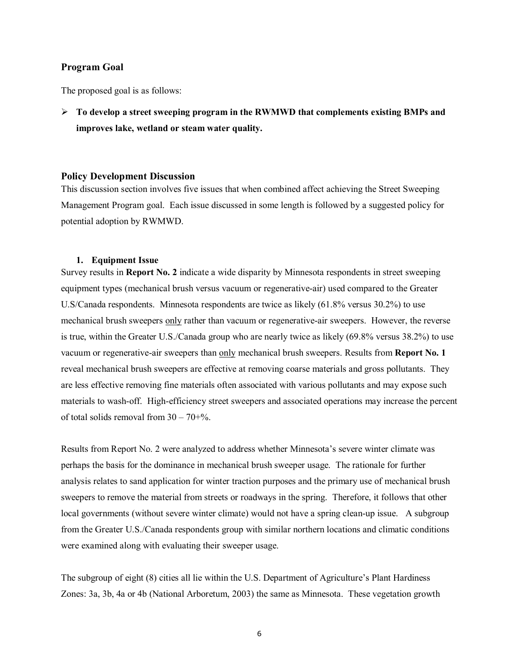# **Program Goal**

The proposed goal is as follows:

¾ **To develop a street sweeping program in the RWMWD that complements existing BMPs and improves lake, wetland or steam water quality.** 

## **Policy Development Discussion**

This discussion section involves five issues that when combined affect achieving the Street Sweeping Management Program goal. Each issue discussed in some length is followed by a suggested policy for potential adoption by RWMWD.

#### **1. Equipment Issue**

Survey results in **Report No. 2** indicate a wide disparity by Minnesota respondents in street sweeping equipment types (mechanical brush versus vacuum or regenerative-air) used compared to the Greater U.S/Canada respondents. Minnesota respondents are twice as likely (61.8% versus 30.2%) to use mechanical brush sweepers only rather than vacuum or regenerative-air sweepers. However, the reverse is true, within the Greater U.S./Canada group who are nearly twice as likely (69.8% versus 38.2%) to use vacuum or regenerative-air sweepers than only mechanical brush sweepers. Results from **Report No. 1** reveal mechanical brush sweepers are effective at removing coarse materials and gross pollutants. They are less effective removing fine materials often associated with various pollutants and may expose such materials to wash-off. High-efficiency street sweepers and associated operations may increase the percent of total solids removal from  $30 - 70 + %$ .

Results from Report No. 2 were analyzed to address whether Minnesota's severe winter climate was perhaps the basis for the dominance in mechanical brush sweeper usage. The rationale for further analysis relates to sand application for winter traction purposes and the primary use of mechanical brush sweepers to remove the material from streets or roadways in the spring. Therefore, it follows that other local governments (without severe winter climate) would not have a spring clean-up issue. A subgroup from the Greater U.S./Canada respondents group with similar northern locations and climatic conditions were examined along with evaluating their sweeper usage.

The subgroup of eight (8) cities all lie within the U.S. Department of Agriculture's Plant Hardiness Zones: 3a, 3b, 4a or 4b (National Arboretum, 2003) the same as Minnesota. These vegetation growth

6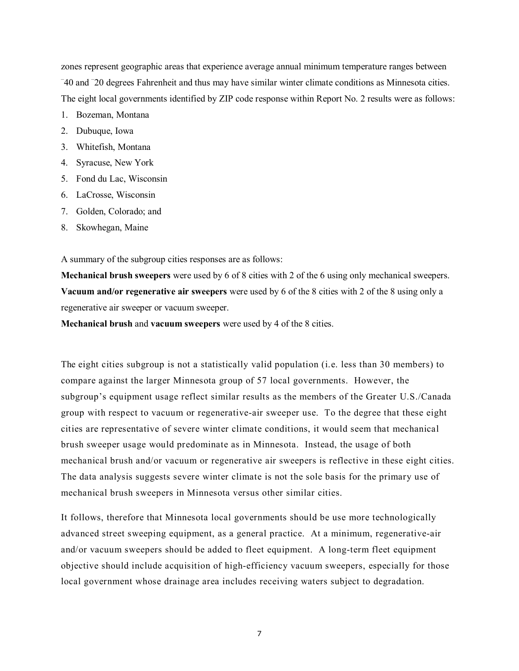zones represent geographic areas that experience average annual minimum temperature ranges between – 40 and – 20 degrees Fahrenheit and thus may have similar winter climate conditions as Minnesota cities. The eight local governments identified by ZIP code response within Report No. 2 results were as follows:

- 1. Bozeman, Montana
- 2. Dubuque, Iowa
- 3. Whitefish, Montana
- 4. Syracuse, New York
- 5. Fond du Lac, Wisconsin
- 6. LaCrosse, Wisconsin
- 7. Golden, Colorado; and
- 8. Skowhegan, Maine

A summary of the subgroup cities responses are as follows:

**Mechanical brush sweepers** were used by 6 of 8 cities with 2 of the 6 using only mechanical sweepers. **Vacuum and/or regenerative air sweepers** were used by 6 of the 8 cities with 2 of the 8 using only a regenerative air sweeper or vacuum sweeper.

**Mechanical brush** and **vacuum sweepers** were used by 4 of the 8 cities.

The eight cities subgroup is not a statistically valid population (i.e. less than 30 members) to compare against the larger Minnesota group of 57 local governments. However, the subgroup's equipment usage reflect similar results as the members of the Greater U.S./Canada group with respect to vacuum or regenerative-air sweeper use. To the degree that these eight cities are representative of severe winter climate conditions, it would seem that mechanical brush sweeper usage would predominate as in Minnesota. Instead, the usage of both mechanical brush and/or vacuum or regenerative air sweepers is reflective in these eight cities. The data analysis suggests severe winter climate is not the sole basis for the primary use of mechanical brush sweepers in Minnesota versus other similar cities.

It follows, therefore that Minnesota local governments should be use more technologically advanced street sweeping equipment, as a general practice. At a minimum, regenerative-air and/or vacuum sweepers should be added to fleet equipment. A long-term fleet equipment objective should include acquisition of high-efficiency vacuum sweepers, especially for those local government whose drainage area includes receiving waters subject to degradation.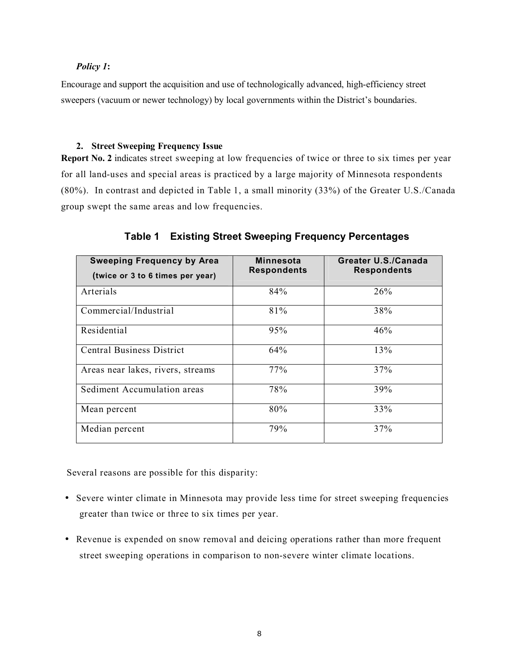# *Policy 1***:**

Encourage and support the acquisition and use of technologically advanced, high-efficiency street sweepers (vacuum or newer technology) by local governments within the District's boundaries.

# **2. Street Sweeping Frequency Issue**

**Report No. 2** indicates street sweeping at low frequencies of twice or three to six times per year for all land-uses and special areas is practiced by a large majority of Minnesota respondents (80%). In contrast and depicted in Table 1, a small minority (33%) of the Greater U.S./Canada group swept the same areas and low frequencies.

| <b>Sweeping Frequency by Area</b><br>(twice or 3 to 6 times per year) | <b>Minnesota</b><br><b>Respondents</b> | Greater U.S./Canada<br><b>Respondents</b> |
|-----------------------------------------------------------------------|----------------------------------------|-------------------------------------------|
| Arterials                                                             | 84%                                    | 26%                                       |
| Commercial/Industrial                                                 | 81%                                    | 38%                                       |
| Residential                                                           | 95%                                    | 46%                                       |
| <b>Central Business District</b>                                      | 64%                                    | 13%                                       |
| Areas near lakes, rivers, streams                                     | 77%                                    | 37%                                       |
| Sediment Accumulation areas                                           | 78%                                    | 39%                                       |
| Mean percent                                                          | 80%                                    | 33%                                       |
| Median percent                                                        | 79%                                    | 37%                                       |

**Table 1 Existing Street Sweeping Frequency Percentages** 

Several reasons are possible for this disparity:

- Severe winter climate in Minnesota may provide less time for street sweeping frequencies greater than twice or three to six times per year.
- Revenue is expended on snow removal and deicing operations rather than more frequent street sweeping operations in comparison to non-severe winter climate locations.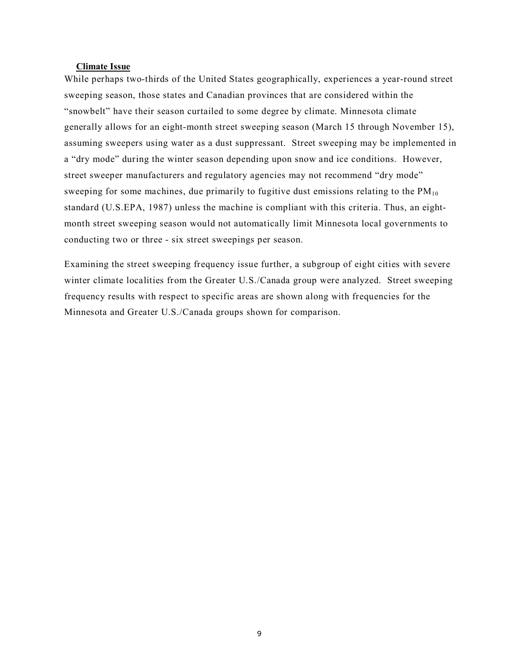#### **Climate Issue**

While perhaps two-thirds of the United States geographically, experiences a year-round street sweeping season, those states and Canadian provinces that are considered within the "snowbelt" have their season curtailed to some degree by climate. Minnesota climate generally allows for an eight-month street sweeping season (March 15 through November 15), assuming sweepers using water as a dust suppressant. Street sweeping may be implemented in a "dry mode" during the winter season depending upon snow and ice conditions. However, street sweeper manufacturers and regulatory agencies may not recommend "dry mode" sweeping for some machines, due primarily to fugitive dust emissions relating to the  $PM_{10}$ standard (U.S.EPA, 1987) unless the machine is compliant with this criteria. Thus, an eightmonth street sweeping season would not automatically limit Minnesota local governments to conducting two or three - six street sweepings per season.

Examining the street sweeping frequency issue further, a subgroup of eight cities with severe winter climate localities from the Greater U.S./Canada group were analyzed. Street sweeping frequency results with respect to specific areas are shown along with frequencies for the Minnesota and Greater U.S./Canada groups shown for comparison.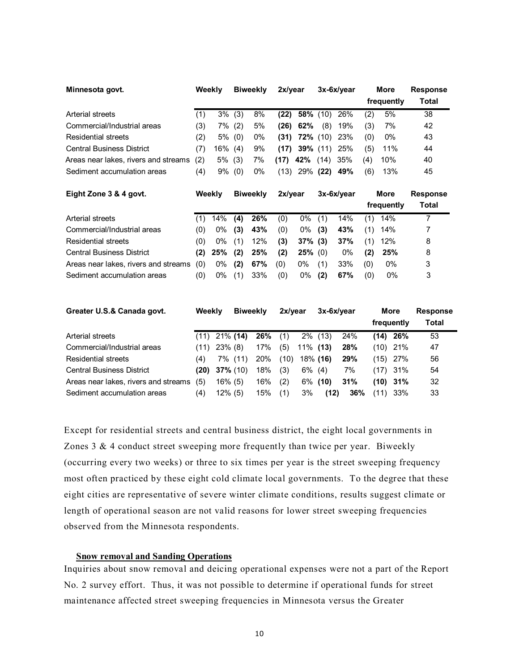| Minnesota govt.                      | Weekly |     |     | <b>Biweekly</b> | 2x/year |                   |      | $3x-6x/year$ |     | More<br>frequently | <b>Response</b><br><b>Total</b> |
|--------------------------------------|--------|-----|-----|-----------------|---------|-------------------|------|--------------|-----|--------------------|---------------------------------|
| Arterial streets                     | (1)    | 3%  | (3) | 8%              | (22)    | 58% (10)          |      | 26%          | (2) | 5%                 | 38                              |
| Commercial/Industrial areas          | (3)    | 7%  | (2) | 5%              | (26)    | 62%               | (8)  | 19%          | (3) | 7%                 | 42                              |
| <b>Residential streets</b>           | (2)    | 5%  | (0) | 0%              |         | $(31)$ 72% $(10)$ |      | 23%          | (0) | 0%                 | 43                              |
| <b>Central Business District</b>     | (7)    | 16% | (4) | 9%              | (17)    | <b>39%</b> (11)   |      | 25%          | (5) | 11%                | 44                              |
| Areas near lakes, rivers and streams | (2)    | 5%  | (3) | 7%              | (17)    | 42%               | (14) | 35%          | (4) | 10%                | 40                              |
| Sediment accumulation areas          | (4)    | 9%  | (0) | 0%              | (13)    | 29%               | (22) | 49%          | (6) | 13%                | 45                              |

| Eight Zone 3 & 4 govt.               |     | Weekly |     | <b>Biweekly</b> |     | 2x/year    |     | $3x-6x/year$ |     | More       | <b>Response</b> |
|--------------------------------------|-----|--------|-----|-----------------|-----|------------|-----|--------------|-----|------------|-----------------|
|                                      |     |        |     |                 |     |            |     |              |     | frequently | Total           |
| Arterial streets                     |     | 14%    | (4) | 26%             | (0) | $0\%$      | (1) | 14%          | (1) | 14%        |                 |
| Commercial/Industrial areas          | (0) | 0%     | (3) | 43%             | (0) | 0%         | (3) | 43%          | (1) | 14%        |                 |
| Residential streets                  | (0) | 0%     | (1) | 12%             | (3) | $37\%$ (3) |     | 37%          | (1) | 12%        | 8               |
| <b>Central Business District</b>     | (2) | 25%    | (2) | 25%             | (2) | $25\%$ (0) |     | $0\%$        | (2) | 25%        | 8               |
| Areas near lakes, rivers and streams | (0) | 0%     | (2) | 67%             | (0) | $0\%$      | (1) | 33%          | (0) | 0%         | 3               |
| Sediment accumulation areas          | (0) | $0\%$  | (1) | 33%             | (0) | 0%         | (2) | 67%          | (0) | 0%         | 3               |

| Greater U.S.& Canada govt.           | Weekly |             | <b>Biweekly</b> |     | 2x/vear |             | $3x-6x/year$ |     |            | More | <b>Response</b> |
|--------------------------------------|--------|-------------|-----------------|-----|---------|-------------|--------------|-----|------------|------|-----------------|
|                                      |        |             |                 |     |         |             |              |     | frequently |      | Total           |
| Arterial streets                     | (11)   | $21\%$ (14) |                 | 26% | (1)     | $2\%$       | (13)         | 24% | (14)       | 26%  | 53              |
| Commercial/Industrial areas          | (11)   | $23\%$ (8)  |                 | 17% | (5)     | $11\%$ (13) |              | 28% | (10)       | 21%  | 47              |
| <b>Residential streets</b>           | (4)    |             | 7% (11)         | 20% | (10)    | 18% (16)    |              | 29% | (15)       | -27% | 56              |
| <b>Central Business District</b>     | (20)   | $37\%$ (10) |                 | 18% | (3)     | 6%          | (4)          | 7%  | (17)       | 31%  | 54              |
| Areas near lakes, rivers and streams | (5)    | $16\%$ (5)  |                 | 16% | (2)     |             | $6\%$ (10)   | 31% | (10)       | 31%  | 32              |
| Sediment accumulation areas          | (4)    | $12\%$ (5)  |                 | 15% | (1)     | 3%          | (12)         | 36% | (11)       | 33%  | 33              |

Except for residential streets and central business district, the eight local governments in Zones 3 & 4 conduct street sweeping more frequently than twice per year. Biweekly (occurring every two weeks) or three to six times per year is the street sweeping frequency most often practiced by these eight cold climate local governments. To the degree that these eight cities are representative of severe winter climate conditions, results suggest climate or length of operational season are not valid reasons for lower street sweeping frequencies observed from the Minnesota respondents.

#### **Snow removal and Sanding Operations**

Inquiries about snow removal and deicing operational expenses were not a part of the Report No. 2 survey effort. Thus, it was not possible to determine if operational funds for street maintenance affected street sweeping frequencies in Minnesota versus the Greater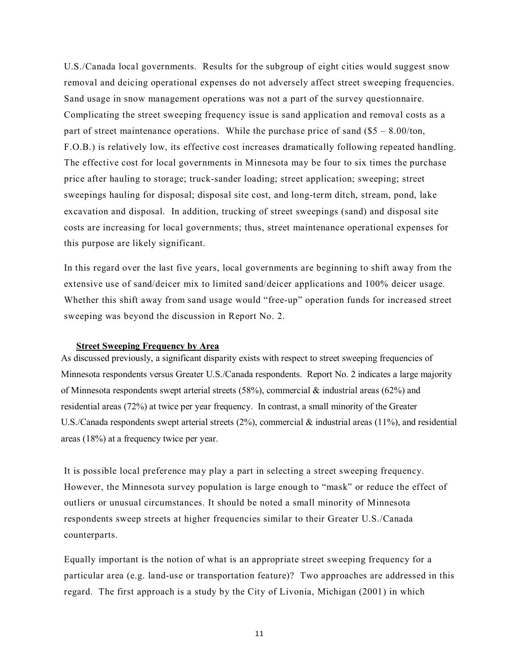U.S./Canada local governments. Results for the subgroup of eight cities would suggest snow removal and deicing operational expenses do not adversely affect street sweeping frequencies. Sand usage in snow management operations was not a part of the survey questionnaire. Complicating the street sweeping frequency issue is sand application and removal costs as a part of street maintenance operations. While the purchase price of sand  $(\$5 - 8.00/t$ on, F.O.B.) is relatively low, its effective cost increases dramatically following repeated handling. The effective cost for local governments in Minnesota may be four to six times the purchase price after hauling to storage; truck-sander loading; street application; sweeping; street sweepings hauling for disposal; disposal site cost, and long-term ditch, stream, pond, lake excavation and disposal. In addition, trucking of street sweepings (sand) and disposal site costs are increasing for local governments; thus, street maintenance operational expenses for this purpose are likely significant.

In this regard over the last five years, local governments are beginning to shift away from the extensive use of sand/deicer mix to limited sand/deicer applications and 100% deicer usage. Whether this shift away from sand usage would "free-up" operation funds for increased street sweeping was beyond the discussion in Report No. 2.

# **Street Sweeping Frequency by Area**

As discussed previously, a significant disparity exists with respect to street sweeping frequencies of Minnesota respondents versus Greater U.S./Canada respondents. Report No. 2 indicates a large majority of Minnesota respondents swept arterial streets (58%), commercial  $\&$  industrial areas (62%) and residential areas (72%) at twice per year frequency. In contrast, a small minority of the Greater U.S./Canada respondents swept arterial streets  $(2%)$ , commercial & industrial areas  $(11%)$ , and residential areas (18%) at a frequency twice per year.

It is possible local preference may play a part in selecting a street sweeping frequency. However, the Minnesota survey population is large enough to "mask" or reduce the effect of outliers or unusual circumstances. It should be noted a small minority of Minnesota respondents sweep streets at higher frequencies similar to their Greater U.S./Canada counterparts.

Equally important is the notion of what is an appropriate street sweeping frequency for a particular area (e.g. land-use or transportation feature)? Two approaches are addressed in this regard. The first approach is a study by the City of Livonia, Michigan (2001) in which

11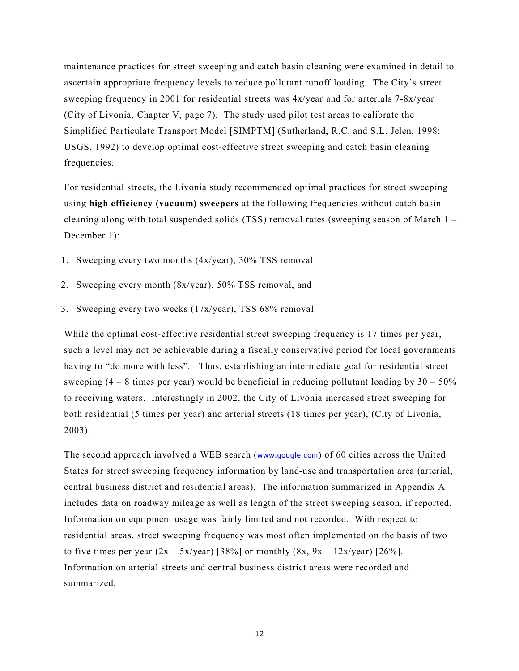maintenance practices for street sweeping and catch basin cleaning were examined in detail to ascertain appropriate frequency levels to reduce pollutant runoff loading. The City's street sweeping frequency in 2001 for residential streets was 4x/year and for arterials 7-8x/year (City of Livonia, Chapter V, page 7). The study used pilot test areas to calibrate the Simplified Particulate Transport Model [SIMPTM] (Sutherland, R.C. and S.L. Jelen, 1998; USGS, 1992) to develop optimal cost-effective street sweeping and catch basin cleaning frequencies.

For residential streets, the Livonia study recommended optimal practices for street sweeping using **high efficiency (vacuum) sweepers** at the following frequencies without catch basin cleaning along with total suspended solids (TSS) removal rates (sweeping season of March 1 – December 1):

- 1. Sweeping every two months (4x/year), 30% TSS removal
- 2. Sweeping every month (8x/year), 50% TSS removal, and
- 3. Sweeping every two weeks (17x/year), TSS 68% removal.

While the optimal cost-effective residential street sweeping frequency is 17 times per year, such a level may not be achievable during a fiscally conservative period for local governments having to "do more with less". Thus, establishing an intermediate goal for residential street sweeping  $(4 - 8$  times per year) would be beneficial in reducing pollutant loading by  $30 - 50\%$ to receiving waters. Interestingly in 2002, the City of Livonia increased street sweeping for both residential (5 times per year) and arterial streets (18 times per year), (City of Livonia, 2003).

The second approach involved a WEB search (www.google.com) of 60 cities across the United States for street sweeping frequency information by land-use and transportation area (arterial, central business district and residential areas). The information summarized in Appendix A includes data on roadway mileage as well as length of the street sweeping season, if reported. Information on equipment usage was fairly limited and not recorded. With respect to residential areas, street sweeping frequency was most often implemented on the basis of two to five times per year  $(2x - 5x/\text{year})$  [38%] or monthly  $(8x, 9x - 12x/\text{year})$  [26%]. Information on arterial streets and central business district areas were recorded and summarized.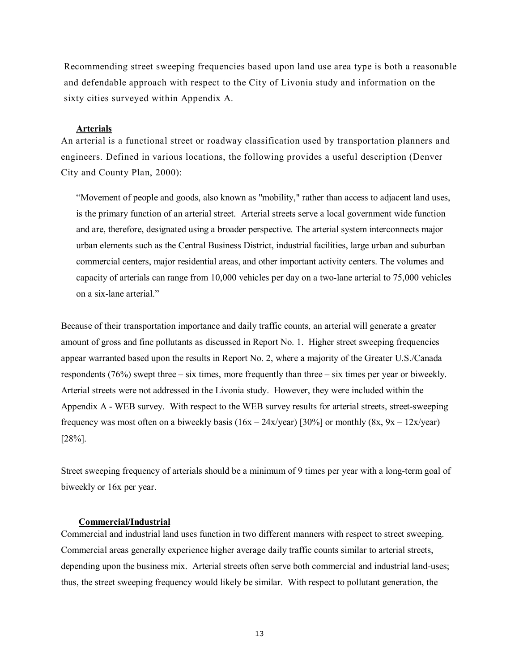Recommending street sweeping frequencies based upon land use area type is both a reasonable and defendable approach with respect to the City of Livonia study and information on the sixty cities surveyed within Appendix A.

# **Arterials**

An arterial is a functional street or roadway classification used by transportation planners and engineers. Defined in various locations, the following provides a useful description (Denver City and County Plan, 2000):

"Movement of people and goods, also known as "mobility," rather than access to adjacent land uses, is the primary function of an arterial street. Arterial streets serve a local government wide function and are, therefore, designated using a broader perspective. The arterial system interconnects major urban elements such as the Central Business District, industrial facilities, large urban and suburban commercial centers, major residential areas, and other important activity centers. The volumes and capacity of arterials can range from 10,000 vehicles per day on a two-lane arterial to 75,000 vehicles on a six-lane arterial."

Because of their transportation importance and daily traffic counts, an arterial will generate a greater amount of gross and fine pollutants as discussed in Report No. 1. Higher street sweeping frequencies appear warranted based upon the results in Report No. 2, where a majority of the Greater U.S./Canada respondents (76%) swept three – six times, more frequently than three – six times per year or biweekly. Arterial streets were not addressed in the Livonia study. However, they were included within the Appendix A - WEB survey. With respect to the WEB survey results for arterial streets, street-sweeping frequency was most often on a biweekly basis  $(16x - 24x/\text{year})$  [30%] or monthly  $(8x, 9x - 12x/\text{year})$ [28%].

Street sweeping frequency of arterials should be a minimum of 9 times per year with a long-term goal of biweekly or 16x per year.

# **Commercial/Industrial**

Commercial and industrial land uses function in two different manners with respect to street sweeping. Commercial areas generally experience higher average daily traffic counts similar to arterial streets, depending upon the business mix. Arterial streets often serve both commercial and industrial land-uses; thus, the street sweeping frequency would likely be similar. With respect to pollutant generation, the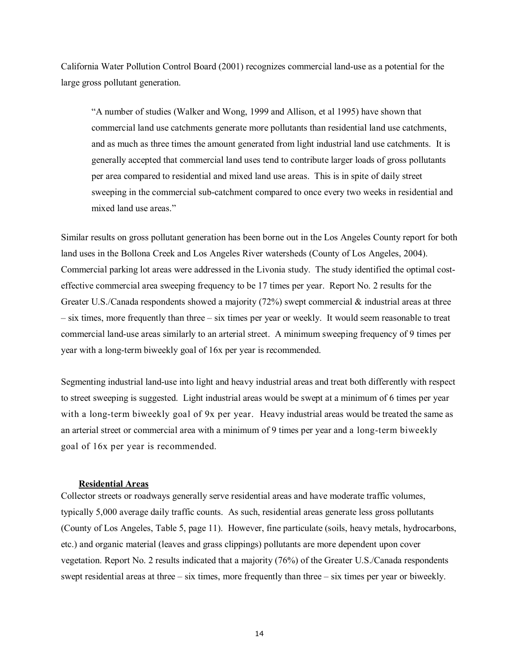California Water Pollution Control Board (2001) recognizes commercial land-use as a potential for the large gross pollutant generation.

"A number of studies (Walker and Wong, 1999 and Allison, et al 1995) have shown that commercial land use catchments generate more pollutants than residential land use catchments, and as much as three times the amount generated from light industrial land use catchments. It is generally accepted that commercial land uses tend to contribute larger loads of gross pollutants per area compared to residential and mixed land use areas. This is in spite of daily street sweeping in the commercial sub-catchment compared to once every two weeks in residential and mixed land use areas."

Similar results on gross pollutant generation has been borne out in the Los Angeles County report for both land uses in the Bollona Creek and Los Angeles River watersheds (County of Los Angeles, 2004). Commercial parking lot areas were addressed in the Livonia study. The study identified the optimal costeffective commercial area sweeping frequency to be 17 times per year. Report No. 2 results for the Greater U.S./Canada respondents showed a majority  $(72%)$  swept commercial  $\&$  industrial areas at three – six times, more frequently than three – six times per year or weekly. It would seem reasonable to treat commercial land-use areas similarly to an arterial street. A minimum sweeping frequency of 9 times per year with a long-term biweekly goal of 16x per year is recommended.

Segmenting industrial land-use into light and heavy industrial areas and treat both differently with respect to street sweeping is suggested. Light industrial areas would be swept at a minimum of 6 times per year with a long-term biweekly goal of 9x per year. Heavy industrial areas would be treated the same as an arterial street or commercial area with a minimum of 9 times per year and a long-term biweekly goal of 16x per year is recommended.

#### **Residential Areas**

Collector streets or roadways generally serve residential areas and have moderate traffic volumes, typically 5,000 average daily traffic counts. As such, residential areas generate less gross pollutants (County of Los Angeles, Table 5, page 11). However, fine particulate (soils, heavy metals, hydrocarbons, etc.) and organic material (leaves and grass clippings) pollutants are more dependent upon cover vegetation. Report No. 2 results indicated that a majority (76%) of the Greater U.S./Canada respondents swept residential areas at three – six times, more frequently than three – six times per year or biweekly.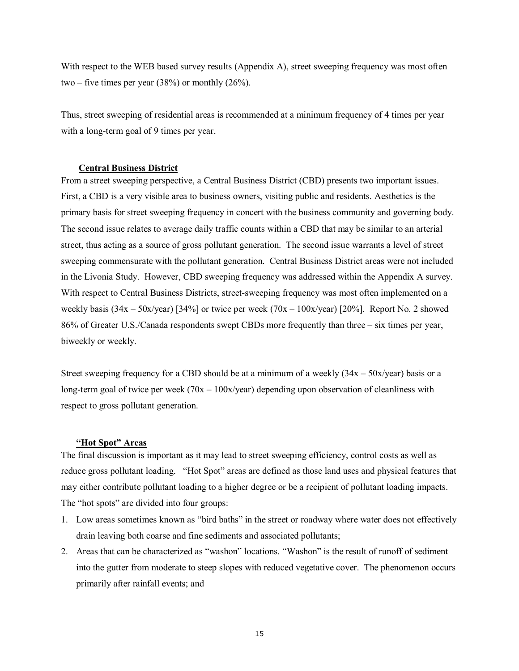With respect to the WEB based survey results (Appendix A), street sweeping frequency was most often two – five times per year  $(38%)$  or monthly  $(26%)$ .

Thus, street sweeping of residential areas is recommended at a minimum frequency of 4 times per year with a long-term goal of 9 times per year.

#### **Central Business District**

From a street sweeping perspective, a Central Business District (CBD) presents two important issues. First, a CBD is a very visible area to business owners, visiting public and residents. Aesthetics is the primary basis for street sweeping frequency in concert with the business community and governing body. The second issue relates to average daily traffic counts within a CBD that may be similar to an arterial street, thus acting as a source of gross pollutant generation. The second issue warrants a level of street sweeping commensurate with the pollutant generation. Central Business District areas were not included in the Livonia Study. However, CBD sweeping frequency was addressed within the Appendix A survey. With respect to Central Business Districts, street-sweeping frequency was most often implemented on a weekly basis  $(34x - 50x/\text{year})$  [34%] or twice per week  $(70x - 100x/\text{year})$  [20%]. Report No. 2 showed 86% of Greater U.S./Canada respondents swept CBDs more frequently than three – six times per year, biweekly or weekly.

Street sweeping frequency for a CBD should be at a minimum of a weekly  $(34x - 50x/\text{year})$  basis or a long-term goal of twice per week  $(70x - 100x/year)$  depending upon observation of cleanliness with respect to gross pollutant generation.

# **"Hot Spot" Areas**

The final discussion is important as it may lead to street sweeping efficiency, control costs as well as reduce gross pollutant loading. "Hot Spot" areas are defined as those land uses and physical features that may either contribute pollutant loading to a higher degree or be a recipient of pollutant loading impacts. The "hot spots" are divided into four groups:

- 1. Low areas sometimes known as "bird baths" in the street or roadway where water does not effectively drain leaving both coarse and fine sediments and associated pollutants;
- 2. Areas that can be characterized as "washon" locations. "Washon" is the result of runoff of sediment into the gutter from moderate to steep slopes with reduced vegetative cover. The phenomenon occurs primarily after rainfall events; and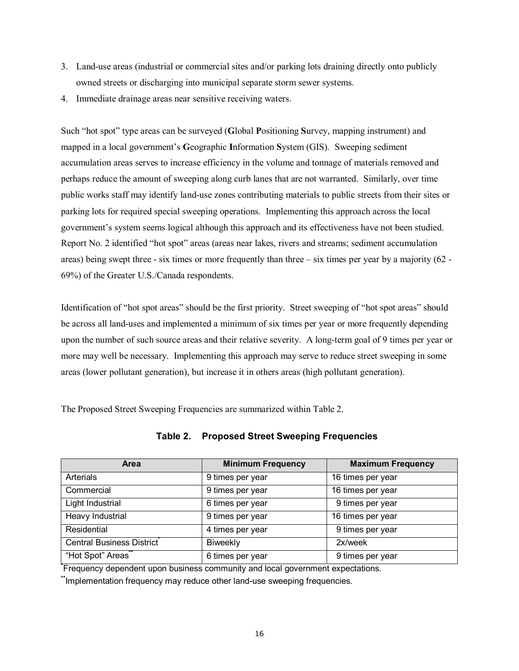- 3. Land-use areas (industrial or commercial sites and/or parking lots draining directly onto publicly owned streets or discharging into municipal separate storm sewer systems.
- 4. Immediate drainage areas near sensitive receiving waters.

Such "hot spot" type areas can be surveyed (**G**lobal **P**ositioning **S**urvey, mapping instrument) and mapped in a local government's **G**eographic **I**nformation **S**ystem (GIS). Sweeping sediment accumulation areas serves to increase efficiency in the volume and tonnage of materials removed and perhaps reduce the amount of sweeping along curb lanes that are not warranted. Similarly, over time public works staff may identify land-use zones contributing materials to public streets from their sites or parking lots for required special sweeping operations. Implementing this approach across the local government's system seems logical although this approach and its effectiveness have not been studied. Report No. 2 identified "hot spot" areas (areas near lakes, rivers and streams; sediment accumulation areas) being swept three - six times or more frequently than three – six times per year by a majority (62 - 69%) of the Greater U.S./Canada respondents.

Identification of "hot spot areas" should be the first priority. Street sweeping of "hot spot areas" should be across all land-uses and implemented a minimum of six times per year or more frequently depending upon the number of such source areas and their relative severity. A long-term goal of 9 times per year or more may well be necessary. Implementing this approach may serve to reduce street sweeping in some areas (lower pollutant generation), but increase it in others areas (high pollutant generation).

The Proposed Street Sweeping Frequencies are summarized within Table 2.

| <b>Area</b>               | <b>Minimum Frequency</b> | <b>Maximum Frequency</b> |
|---------------------------|--------------------------|--------------------------|
| <b>Arterials</b>          | 9 times per year         | 16 times per year        |
| Commercial                | 9 times per year         | 16 times per year        |
| Light Industrial          | 6 times per year         | 9 times per year         |
| Heavy Industrial          | 9 times per year         | 16 times per year        |
| Residential               | 4 times per year         | 9 times per year         |
| Central Business District | Biweekly                 | 2x/week                  |
| "Hot Spot" Areas"         | 6 times per year         | 9 times per year         |

# **Table 2. Proposed Street Sweeping Frequencies**

**\*** Frequency dependent upon business community and local government expectations.

**\*\***Implementation frequency may reduce other land-use sweeping frequencies.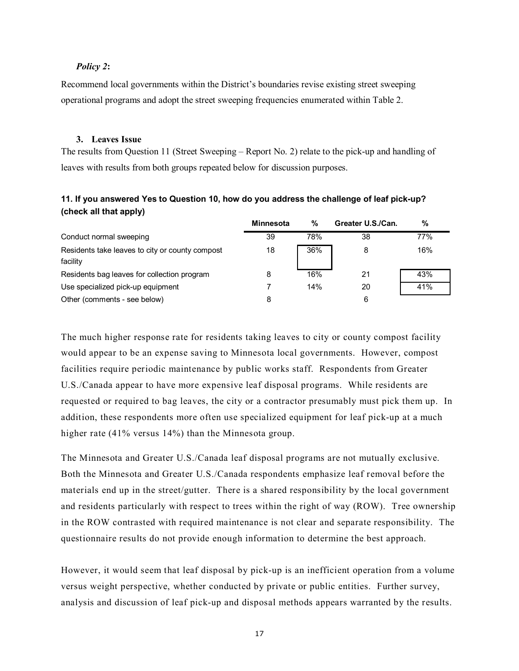# *Policy 2***:**

Recommend local governments within the District's boundaries revise existing street sweeping operational programs and adopt the street sweeping frequencies enumerated within Table 2.

# **3. Leaves Issue**

The results from Question 11 (Street Sweeping – Report No. 2) relate to the pick-up and handling of leaves with results from both groups repeated below for discussion purposes.

| 11. If you answered Yes to Question 10, how do you address the challenge of leaf pick-up? |  |  |
|-------------------------------------------------------------------------------------------|--|--|
| (check all that apply)                                                                    |  |  |

|                                                             | Minnesota | %   | Greater U.S./Can. | %   |
|-------------------------------------------------------------|-----------|-----|-------------------|-----|
| Conduct normal sweeping                                     | 39        | 78% | 38                | 77% |
| Residents take leaves to city or county compost<br>facility | 18        | 36% | 8                 | 16% |
| Residents bag leaves for collection program                 | 8         | 16% | 21                | 43% |
| Use specialized pick-up equipment                           |           | 14% | 20                | 41% |
| Other (comments - see below)                                | 8         |     | 6                 |     |

The much higher response rate for residents taking leaves to city or county compost facility would appear to be an expense saving to Minnesota local governments. However, compost facilities require periodic maintenance by public works staff. Respondents from Greater U.S./Canada appear to have more expensive leaf disposal programs. While residents are requested or required to bag leaves, the city or a contractor presumably must pick them up. In addition, these respondents more often use specialized equipment for leaf pick-up at a much higher rate (41% versus 14%) than the Minnesota group.

The Minnesota and Greater U.S./Canada leaf disposal programs are not mutually exclusive. Both the Minnesota and Greater U.S./Canada respondents emphasize leaf removal before the materials end up in the street/gutter. There is a shared responsibility by the local government and residents particularly with respect to trees within the right of way (ROW). Tree ownership in the ROW contrasted with required maintenance is not clear and separate responsibility. The questionnaire results do not provide enough information to determine the best approach.

However, it would seem that leaf disposal by pick-up is an inefficient operation from a volume versus weight perspective, whether conducted by private or public entities. Further survey, analysis and discussion of leaf pick-up and disposal methods appears warranted by the results.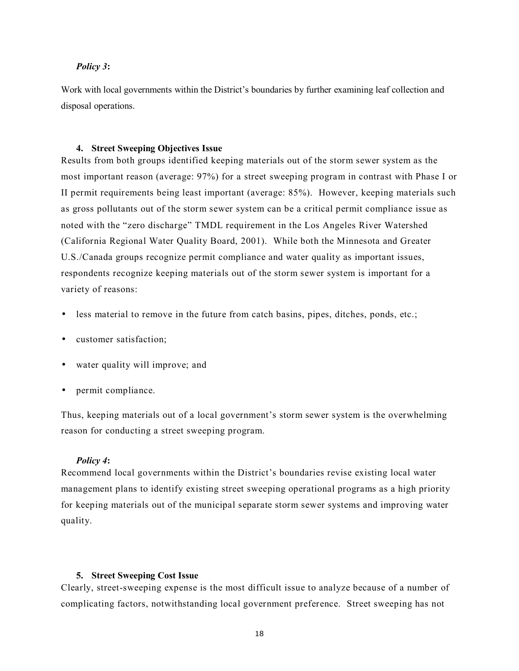# *Policy 3***:**

Work with local governments within the District's boundaries by further examining leaf collection and disposal operations.

# **4. Street Sweeping Objectives Issue**

Results from both groups identified keeping materials out of the storm sewer system as the most important reason (average: 97%) for a street sweeping program in contrast with Phase I or II permit requirements being least important (average: 85%). However, keeping materials such as gross pollutants out of the storm sewer system can be a critical permit compliance issue as noted with the "zero discharge" TMDL requirement in the Los Angeles River Watershed (California Regional Water Quality Board, 2001). While both the Minnesota and Greater U.S./Canada groups recognize permit compliance and water quality as important issues, respondents recognize keeping materials out of the storm sewer system is important for a variety of reasons:

- less material to remove in the future from catch basins, pipes, ditches, ponds, etc.;
- customer satisfaction;
- water quality will improve; and
- permit compliance.

Thus, keeping materials out of a local government's storm sewer system is the overwhelming reason for conducting a street sweeping program.

#### *Policy 4***:**

Recommend local governments within the District's boundaries revise existing local water management plans to identify existing street sweeping operational programs as a high priority for keeping materials out of the municipal separate storm sewer systems and improving water quality.

#### **5. Street Sweeping Cost Issue**

Clearly, street-sweeping expense is the most difficult issue to analyze because of a number of complicating factors, notwithstanding local government preference. Street sweeping has not

18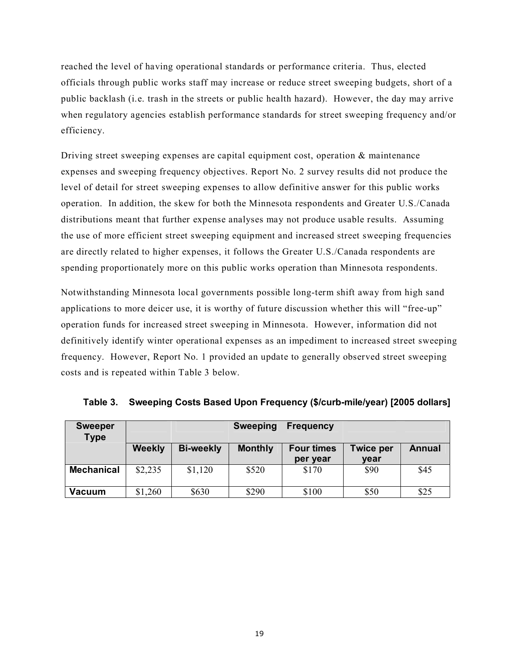reached the level of having operational standards or performance criteria. Thus, elected officials through public works staff may increase or reduce street sweeping budgets, short of a public backlash (i.e. trash in the streets or public health hazard). However, the day may arrive when regulatory agencies establish performance standards for street sweeping frequency and/or efficiency.

Driving street sweeping expenses are capital equipment cost, operation  $\&$  maintenance expenses and sweeping frequency objectives. Report No. 2 survey results did not produce the level of detail for street sweeping expenses to allow definitive answer for this public works operation. In addition, the skew for both the Minnesota respondents and Greater U.S./Canada distributions meant that further expense analyses may not produce usable results. Assuming the use of more efficient street sweeping equipment and increased street sweeping frequencies are directly related to higher expenses, it follows the Greater U.S./Canada respondents are spending proportionately more on this public works operation than Minnesota respondents.

Notwithstanding Minnesota local governments possible long-term shift away from high sand applications to more deicer use, it is worthy of future discussion whether this will "free-up" operation funds for increased street sweeping in Minnesota. However, information did not definitively identify winter operational expenses as an impediment to increased street sweeping frequency. However, Report No. 1 provided an update to generally observed street sweeping costs and is repeated within Table 3 below.

| <b>Sweeper</b><br><b>Type</b> |               |                  | <b>Sweeping</b> | <b>Frequency</b>  |                  |        |
|-------------------------------|---------------|------------------|-----------------|-------------------|------------------|--------|
|                               | <b>Weekly</b> | <b>Bi-weekly</b> | <b>Monthly</b>  | <b>Four times</b> | <b>Twice per</b> | Annual |
|                               |               |                  |                 | per year          | year             |        |
| <b>Mechanical</b>             | \$2,235       | \$1,120          | \$520           | \$170             | \$90             | \$45   |
| Vacuum                        | \$1,260       | \$630            | \$290           | \$100             | \$50             | \$25   |

|  |  | Table 3. Sweeping Costs Based Upon Frequency (\$/curb-mile/year) [2005 dollars] |  |  |  |  |
|--|--|---------------------------------------------------------------------------------|--|--|--|--|
|--|--|---------------------------------------------------------------------------------|--|--|--|--|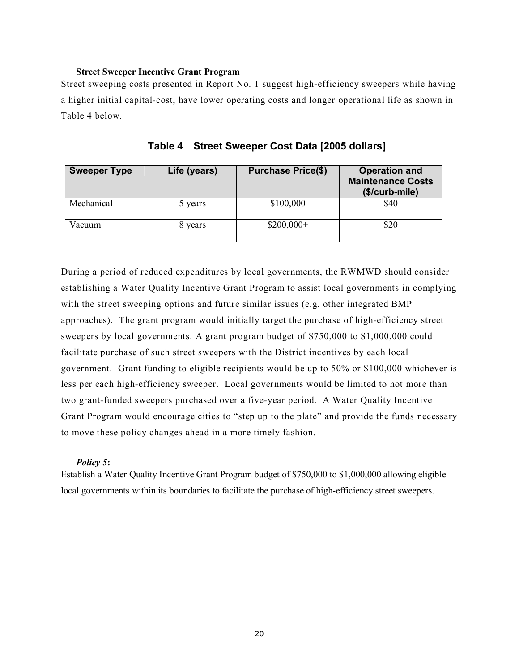# **Street Sweeper Incentive Grant Program**

Street sweeping costs presented in Report No. 1 suggest high-efficiency sweepers while having a higher initial capital-cost, have lower operating costs and longer operational life as shown in Table 4 below.

| <b>Sweeper Type</b> | Life (years) | <b>Purchase Price(\$)</b> | <b>Operation and</b><br><b>Maintenance Costs</b><br>(\$/curb-mile) |
|---------------------|--------------|---------------------------|--------------------------------------------------------------------|
| Mechanical          | 5 years      | \$100,000                 | \$40                                                               |
| Vacuum              | 8 years      | $$200,000+$               | \$20                                                               |

**Table 4 Street Sweeper Cost Data [2005 dollars]** 

During a period of reduced expenditures by local governments, the RWMWD should consider establishing a Water Quality Incentive Grant Program to assist local governments in complying with the street sweeping options and future similar issues (e.g. other integrated BMP approaches). The grant program would initially target the purchase of high-efficiency street sweepers by local governments. A grant program budget of \$750,000 to \$1,000,000 could facilitate purchase of such street sweepers with the District incentives by each local government. Grant funding to eligible recipients would be up to 50% or \$100,000 whichever is less per each high-efficiency sweeper. Local governments would be limited to not more than two grant-funded sweepers purchased over a five-year period. A Water Quality Incentive Grant Program would encourage cities to "step up to the plate" and provide the funds necessary to move these policy changes ahead in a more timely fashion.

# *Policy 5***:**

Establish a Water Quality Incentive Grant Program budget of \$750,000 to \$1,000,000 allowing eligible local governments within its boundaries to facilitate the purchase of high-efficiency street sweepers.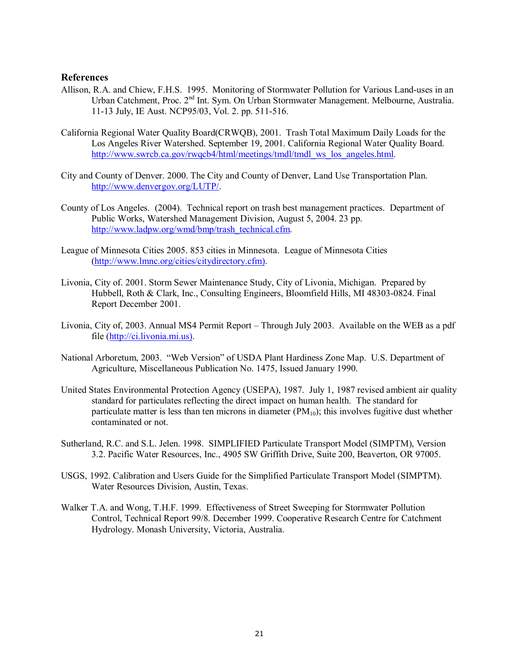# **References**

- Allison, R.A. and Chiew, F.H.S. 1995. Monitoring of Stormwater Pollution for Various Land-uses in an Urban Catchment, Proc. 2nd Int. Sym. On Urban Stormwater Management. Melbourne, Australia. 11-13 July, IE Aust. NCP95/03, Vol. 2. pp. 511-516.
- California Regional Water Quality Board(CRWQB), 2001. Trash Total Maximum Daily Loads for the Los Angeles River Watershed. September 19, 2001. California Regional Water Quality Board. http://www.swrcb.ca.gov/rwqcb4/html/meetings/tmdl/tmdl\_ws\_los\_angeles.html.
- City and County of Denver. 2000. The City and County of Denver, Land Use Transportation Plan. http://www.denvergov.org/LUTP/.
- County of Los Angeles. (2004). Technical report on trash best management practices. Department of Public Works, Watershed Management Division, August 5, 2004. 23 pp. http://www.ladpw.org/wmd/bmp/trash\_technical.cfm.
- League of Minnesota Cities 2005. 853 cities in Minnesota. League of Minnesota Cities (http://www.lmnc.org/cities/citydirectory.cfm).
- Livonia, City of. 2001. Storm Sewer Maintenance Study, City of Livonia, Michigan. Prepared by Hubbell, Roth & Clark, Inc., Consulting Engineers, Bloomfield Hills, MI 48303-0824. Final Report December 2001.
- Livonia, City of, 2003. Annual MS4 Permit Report Through July 2003. Available on the WEB as a pdf file (http://ci.livonia.mi.us).
- National Arboretum, 2003. "Web Version" of USDA Plant Hardiness Zone Map. U.S. Department of Agriculture, Miscellaneous Publication No. 1475, Issued January 1990.
- United States Environmental Protection Agency (USEPA), 1987. July 1, 1987 revised ambient air quality standard for particulates reflecting the direct impact on human health. The standard for particulate matter is less than ten microns in diameter  $(PM_{10})$ ; this involves fugitive dust whether contaminated or not.
- Sutherland, R.C. and S.L. Jelen. 1998. SIMPLIFIED Particulate Transport Model (SIMPTM), Version 3.2. Pacific Water Resources, Inc., 4905 SW Griffith Drive, Suite 200, Beaverton, OR 97005.
- USGS, 1992. Calibration and Users Guide for the Simplified Particulate Transport Model (SIMPTM). Water Resources Division, Austin, Texas.
- Walker T.A. and Wong, T.H.F. 1999. Effectiveness of Street Sweeping for Stormwater Pollution Control, Technical Report 99/8. December 1999. Cooperative Research Centre for Catchment Hydrology. Monash University, Victoria, Australia.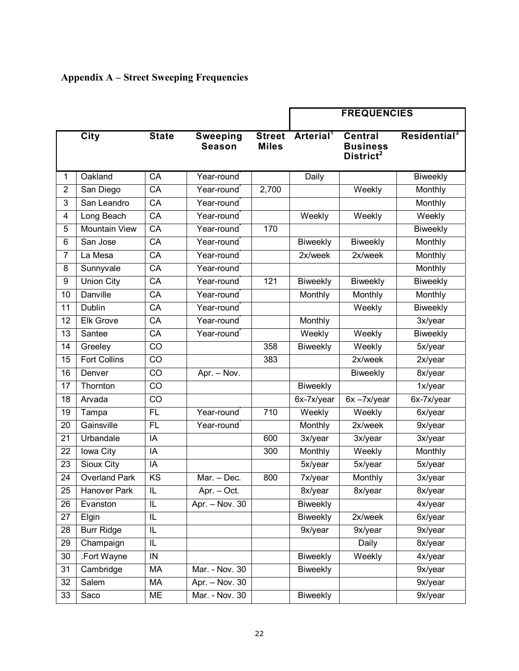| <b>Appendix A – Street Sweeping Frequencies</b> |  |  |  |
|-------------------------------------------------|--|--|--|
|-------------------------------------------------|--|--|--|

|                 |                      |                 |                                  |                               | <b>FREQUENCIES</b>    |                                                            |                          |
|-----------------|----------------------|-----------------|----------------------------------|-------------------------------|-----------------------|------------------------------------------------------------|--------------------------|
|                 | <b>City</b>          | <b>State</b>    | <b>Sweeping</b><br><b>Season</b> | <b>Street</b><br><b>Miles</b> | Arterial <sup>1</sup> | <b>Central</b><br><b>Business</b><br>District <sup>2</sup> | Residential <sup>3</sup> |
| 1               | Oakland              | CA              | Year-round                       |                               | Daily                 |                                                            | Biweekly                 |
| $\overline{2}$  | San Diego            | CA              | Year-round                       | 2,700                         |                       | Weekly                                                     | Monthly                  |
| 3               | San Leandro          | CA              | Year-round                       |                               |                       |                                                            | Monthly                  |
| 4               | Long Beach           | CA              | Year-round                       |                               | Weekly                | Weekly                                                     | Weekly                   |
| 5               | <b>Mountain View</b> | $\overline{CA}$ | Year-round                       | 170                           |                       |                                                            | Biweekly                 |
| 6               | San Jose             | CA              | Year-round                       |                               | Biweekly              | Biweekly                                                   | Monthly                  |
| 7               | La Mesa              | CA              | Year-round                       |                               | 2x/week               | 2x/week                                                    | Monthly                  |
| 8               | Sunnyvale            | CA              | Year-round                       |                               |                       |                                                            | Monthly                  |
| 9               | <b>Union City</b>    | CA              | Year-round                       | 121                           | <b>Biweekly</b>       | <b>Biweekly</b>                                            | Biweekly                 |
| 10              | Danville             | $\overline{CA}$ | Year-round                       |                               | Monthly               | Monthly                                                    | Monthly                  |
| 11              | Dublin               | CA              | Year-round                       |                               |                       | Weekly                                                     | Biweekly                 |
| $\overline{12}$ | <b>Elk Grove</b>     | $\overline{CA}$ | Year-round                       |                               | Monthly               |                                                            | 3x/year                  |
| 13              | Santee               | CA              | Year-round                       |                               | Weekly                | Weekly                                                     | Biweekly                 |
| 14              | Greeley              | CO              |                                  | 358                           | Biweekly              | Weekly                                                     | 5x/year                  |
| 15              | <b>Fort Collins</b>  | CO              |                                  | 383                           |                       | 2x/week                                                    | 2x/year                  |
| 16              | Denver               | CO              | Apr. - Nov.                      |                               |                       | <b>Biweekly</b>                                            | 8x/year                  |
| 17              | Thornton             | $\overline{CO}$ |                                  |                               | Biweekly              |                                                            | 1x/year                  |
| 18              | Arvada               | CO              |                                  |                               | 6x-7x/year            | $6x - 7x/year$                                             | 6x-7x/year               |
| 19              | Tampa                | <b>FL</b>       | Year-round                       | 710                           | Weekly                | Weekly                                                     | 6x/year                  |
| 20              | Gainsville           | <b>FL</b>       | Year-round                       |                               | Monthly               | 2x/week                                                    | 9x/year                  |
| 21              | Urbandale            | IA              |                                  | 600                           | 3x/year               | 3x/year                                                    | 3x/year                  |
| 22              | Iowa City            | IA              |                                  | 300                           | Monthly               | Weekly                                                     | Monthly                  |
| 23              | <b>Sioux City</b>    | IA              |                                  |                               | 5x/year               | 5x/year                                                    | 5x/year                  |
| 24              | <b>Overland Park</b> | KS              | Mar. - Dec.                      | 800                           | 7x/year               | Monthly                                                    | 3x/year                  |
| 25              | Hanover Park         | IL              | Apr. – Oct.                      |                               | 8x/year               | 8x/year                                                    | 8x/year                  |
| 26              | Evanston             | IL              | Apr. - Nov. 30                   |                               | Biweekly              |                                                            | 4x/year                  |
| 27              | Elgin                | IL              |                                  |                               | <b>Biweekly</b>       | 2x/week                                                    | 6x/year                  |
| 28              | <b>Burr Ridge</b>    | IL              |                                  |                               | 9x/year               | 9x/year                                                    | 9x/year                  |
| 29              | Champaign            | IL              |                                  |                               |                       | Daily                                                      | 8x/year                  |
| 30              | .Fort Wayne          | IN              |                                  |                               | <b>Biweekly</b>       | Weekly                                                     | 4x/year                  |
| 31              | Cambridge            | MA              | Mar. - Nov. 30                   |                               | Biweekly              |                                                            | 9x/year                  |
| 32              | Salem                | МA              | Apr. - Nov. 30                   |                               |                       |                                                            | 9x/year                  |
| 33              | Saco                 | ME              | Mar. - Nov. 30                   |                               | <b>Biweekly</b>       |                                                            | 9x/year                  |